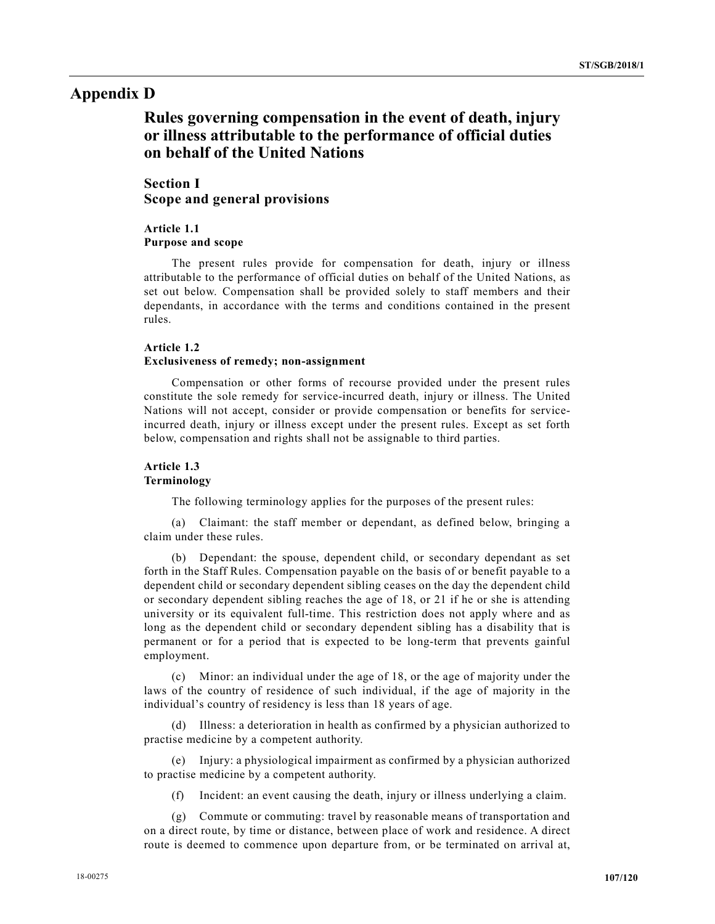# Appendix D

# Rules governing compensation in the event of death, injury or illness attributable to the performance of official duties on behalf of the United Nations

# Section I Scope and general provisions

# Article 1.1 Purpose and scope

 The present rules provide for compensation for death, injury or illness attributable to the performance of official duties on behalf of the United Nations, as set out below. Compensation shall be provided solely to staff members and their dependants, in accordance with the terms and conditions contained in the present rules.

## Article 1.2 Exclusiveness of remedy; non-assignment

 Compensation or other forms of recourse provided under the present rules constitute the sole remedy for service-incurred death, injury or illness. The United Nations will not accept, consider or provide compensation or benefits for serviceincurred death, injury or illness except under the present rules. Except as set forth below, compensation and rights shall not be assignable to third parties.

# Article 1.3 Terminology

The following terminology applies for the purposes of the present rules:

 (a) Claimant: the staff member or dependant, as defined below, bringing a claim under these rules.

 (b) Dependant: the spouse, dependent child, or secondary dependant as set forth in the Staff Rules. Compensation payable on the basis of or benefit payable to a dependent child or secondary dependent sibling ceases on the day the dependent child or secondary dependent sibling reaches the age of 18, or 21 if he or she is attending university or its equivalent full-time. This restriction does not apply where and as long as the dependent child or secondary dependent sibling has a disability that is permanent or for a period that is expected to be long-term that prevents gainful employment.

 (c) Minor: an individual under the age of 18, or the age of majority under the laws of the country of residence of such individual, if the age of majority in the individual's country of residency is less than 18 years of age.

 (d) Illness: a deterioration in health as confirmed by a physician authorized to practise medicine by a competent authority.

 (e) Injury: a physiological impairment as confirmed by a physician authorized to practise medicine by a competent authority.

(f) Incident: an event causing the death, injury or illness underlying a claim.

 (g) Commute or commuting: travel by reasonable means of transportation and on a direct route, by time or distance, between place of work and residence. A direct route is deemed to commence upon departure from, or be terminated on arrival at,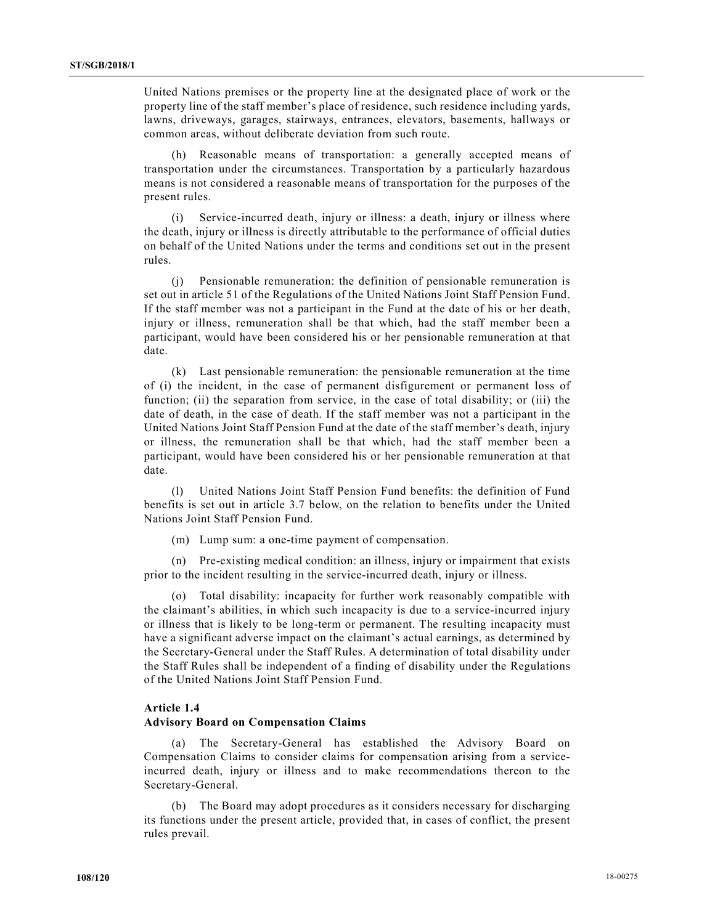United Nations premises or the property line at the designated place of work or the property line of the staff member's place of residence, such residence including yards, lawns, driveways, garages, stairways, entrances, elevators, basements, hallways or common areas, without deliberate deviation from such route.

 (h) Reasonable means of transportation: a generally accepted means of transportation under the circumstances. Transportation by a particularly hazardous means is not considered a reasonable means of transportation for the purposes of the present rules.

 (i) Service-incurred death, injury or illness: a death, injury or illness where the death, injury or illness is directly attributable to the performance of official duties on behalf of the United Nations under the terms and conditions set out in the present rules.

 (j) Pensionable remuneration: the definition of pensionable remuneration is set out in article 51 of the Regulations of the United Nations Joint Staff Pension Fund. If the staff member was not a participant in the Fund at the date of his or her death, injury or illness, remuneration shall be that which, had the staff member been a participant, would have been considered his or her pensionable remuneration at that date.

 (k) Last pensionable remuneration: the pensionable remuneration at the time of (i) the incident, in the case of permanent disfigurement or permanent loss of function; (ii) the separation from service, in the case of total disability; or (iii) the date of death, in the case of death. If the staff member was not a participant in the United Nations Joint Staff Pension Fund at the date of the staff member's death, injury or illness, the remuneration shall be that which, had the staff member been a participant, would have been considered his or her pensionable remuneration at that date.

 (l) United Nations Joint Staff Pension Fund benefits: the definition of Fund benefits is set out in article 3.7 below, on the relation to benefits under the United Nations Joint Staff Pension Fund.

(m) Lump sum: a one-time payment of compensation.

 (n) Pre-existing medical condition: an illness, injury or impairment that exists prior to the incident resulting in the service-incurred death, injury or illness.

 (o) Total disability: incapacity for further work reasonably compatible with the claimant's abilities, in which such incapacity is due to a service-incurred injury or illness that is likely to be long-term or permanent. The resulting incapacity must have a significant adverse impact on the claimant's actual earnings, as determined by the Secretary-General under the Staff Rules. A determination of total disability under the Staff Rules shall be independent of a finding of disability under the Regulations of the United Nations Joint Staff Pension Fund.

#### Article 1.4

#### Advisory Board on Compensation Claims

 (a) The Secretary-General has established the Advisory Board on Compensation Claims to consider claims for compensation arising from a serviceincurred death, injury or illness and to make recommendations thereon to the Secretary-General.

 (b) The Board may adopt procedures as it considers necessary for discharging its functions under the present article, provided that, in cases of conflict, the present rules prevail.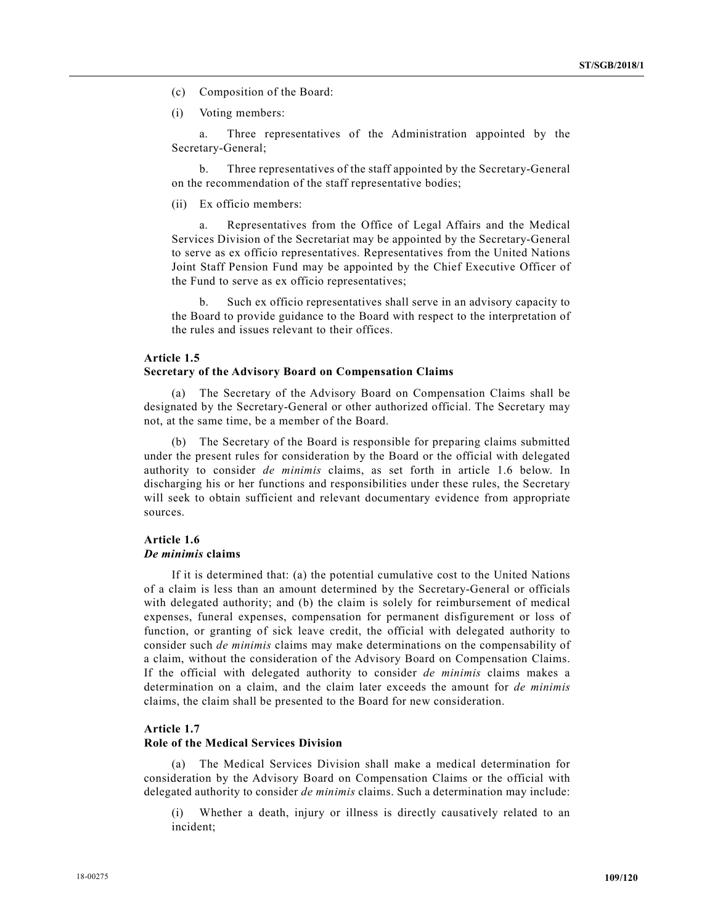- (c) Composition of the Board:
- (i) Voting members:

 a. Three representatives of the Administration appointed by the Secretary-General;

 b. Three representatives of the staff appointed by the Secretary-General on the recommendation of the staff representative bodies;

(ii) Ex officio members:

 a. Representatives from the Office of Legal Affairs and the Medical Services Division of the Secretariat may be appointed by the Secretary-General to serve as ex officio representatives. Representatives from the United Nations Joint Staff Pension Fund may be appointed by the Chief Executive Officer of the Fund to serve as ex officio representatives;

 b. Such ex officio representatives shall serve in an advisory capacity to the Board to provide guidance to the Board with respect to the interpretation of the rules and issues relevant to their offices.

## Article 1.5

## Secretary of the Advisory Board on Compensation Claims

 (a) The Secretary of the Advisory Board on Compensation Claims shall be designated by the Secretary-General or other authorized official. The Secretary may not, at the same time, be a member of the Board.

 (b) The Secretary of the Board is responsible for preparing claims submitted under the present rules for consideration by the Board or the official with delegated authority to consider de minimis claims, as set forth in article 1.6 below. In discharging his or her functions and responsibilities under these rules, the Secretary will seek to obtain sufficient and relevant documentary evidence from appropriate sources.

## Article 1.6 De minimis claims

 If it is determined that: (a) the potential cumulative cost to the United Nations of a claim is less than an amount determined by the Secretary-General or officials with delegated authority; and (b) the claim is solely for reimbursement of medical expenses, funeral expenses, compensation for permanent disfigurement or loss of function, or granting of sick leave credit, the official with delegated authority to consider such *de minimis* claims may make determinations on the compensability of a claim, without the consideration of the Advisory Board on Compensation Claims. If the official with delegated authority to consider de minimis claims makes a determination on a claim, and the claim later exceeds the amount for de minimis claims, the claim shall be presented to the Board for new consideration.

### Article 1.7

#### Role of the Medical Services Division

 (a) The Medical Services Division shall make a medical determination for consideration by the Advisory Board on Compensation Claims or the official with delegated authority to consider *de minimis* claims. Such a determination may include:

Whether a death, injury or illness is directly causatively related to an incident;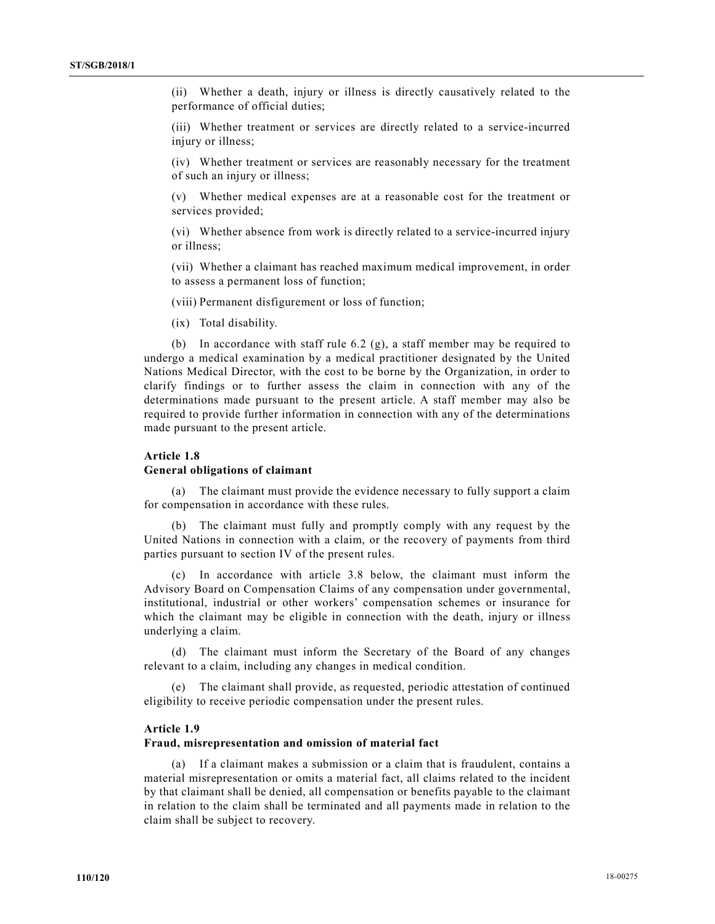(ii) Whether a death, injury or illness is directly causatively related to the performance of official duties;

 (iii) Whether treatment or services are directly related to a service-incurred injury or illness;

 (iv) Whether treatment or services are reasonably necessary for the treatment of such an injury or illness;

 (v) Whether medical expenses are at a reasonable cost for the treatment or services provided;

 (vi) Whether absence from work is directly related to a service-incurred injury or illness;

 (vii) Whether a claimant has reached maximum medical improvement, in order to assess a permanent loss of function;

(viii) Permanent disfigurement or loss of function;

(ix) Total disability.

(b) In accordance with staff rule 6.2  $(g)$ , a staff member may be required to undergo a medical examination by a medical practitioner designated by the United Nations Medical Director, with the cost to be borne by the Organization, in order to clarify findings or to further assess the claim in connection with any of the determinations made pursuant to the present article. A staff member may also be required to provide further information in connection with any of the determinations made pursuant to the present article.

## Article 1.8

#### General obligations of claimant

 (a) The claimant must provide the evidence necessary to fully support a claim for compensation in accordance with these rules.

The claimant must fully and promptly comply with any request by the United Nations in connection with a claim, or the recovery of payments from third parties pursuant to section IV of the present rules.

 (c) In accordance with article 3.8 below, the claimant must inform the Advisory Board on Compensation Claims of any compensation under governmental, institutional, industrial or other workers' compensation schemes or insurance for which the claimant may be eligible in connection with the death, injury or illness underlying a claim.

 (d) The claimant must inform the Secretary of the Board of any changes relevant to a claim, including any changes in medical condition.

The claimant shall provide, as requested, periodic attestation of continued eligibility to receive periodic compensation under the present rules.

#### Article 1.9

#### Fraud, misrepresentation and omission of material fact

 (a) If a claimant makes a submission or a claim that is fraudulent, contains a material misrepresentation or omits a material fact, all claims related to the incident by that claimant shall be denied, all compensation or benefits payable to the claimant in relation to the claim shall be terminated and all payments made in relation to the claim shall be subject to recovery.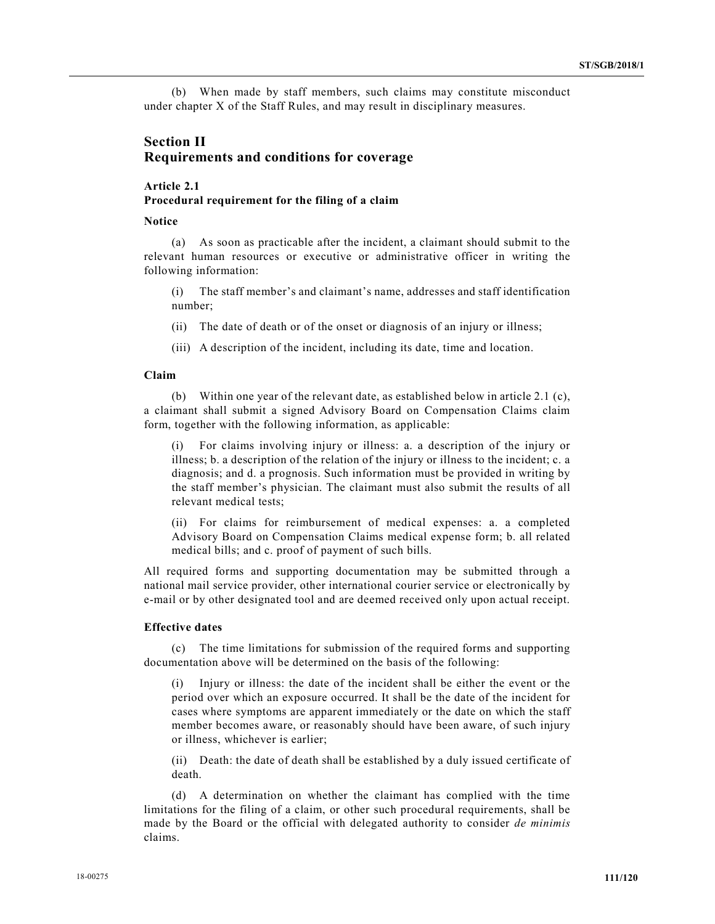(b) When made by staff members, such claims may constitute misconduct under chapter X of the Staff Rules, and may result in disciplinary measures.

# Section II Requirements and conditions for coverage

# Article 2.1 Procedural requirement for the filing of a claim

#### Notice

 (a) As soon as practicable after the incident, a claimant should submit to the relevant human resources or executive or administrative officer in writing the following information:

 (i) The staff member's and claimant's name, addresses and staff identification number;

(ii) The date of death or of the onset or diagnosis of an injury or illness;

(iii) A description of the incident, including its date, time and location.

### Claim

 (b) Within one year of the relevant date, as established below in article 2.1 (c), a claimant shall submit a signed Advisory Board on Compensation Claims claim form, together with the following information, as applicable:

 (i) For claims involving injury or illness: a. a description of the injury or illness; b. a description of the relation of the injury or illness to the incident; c. a diagnosis; and d. a prognosis. Such information must be provided in writing by the staff member's physician. The claimant must also submit the results of all relevant medical tests;

 (ii) For claims for reimbursement of medical expenses: a. a completed Advisory Board on Compensation Claims medical expense form; b. all related medical bills; and c. proof of payment of such bills.

All required forms and supporting documentation may be submitted through a national mail service provider, other international courier service or electronically by e-mail or by other designated tool and are deemed received only upon actual receipt.

### Effective dates

 (c) The time limitations for submission of the required forms and supporting documentation above will be determined on the basis of the following:

Injury or illness: the date of the incident shall be either the event or the period over which an exposure occurred. It shall be the date of the incident for cases where symptoms are apparent immediately or the date on which the staff member becomes aware, or reasonably should have been aware, of such injury or illness, whichever is earlier;

 (ii) Death: the date of death shall be established by a duly issued certificate of death.

 (d) A determination on whether the claimant has complied with the time limitations for the filing of a claim, or other such procedural requirements, shall be made by the Board or the official with delegated authority to consider de minimis claims.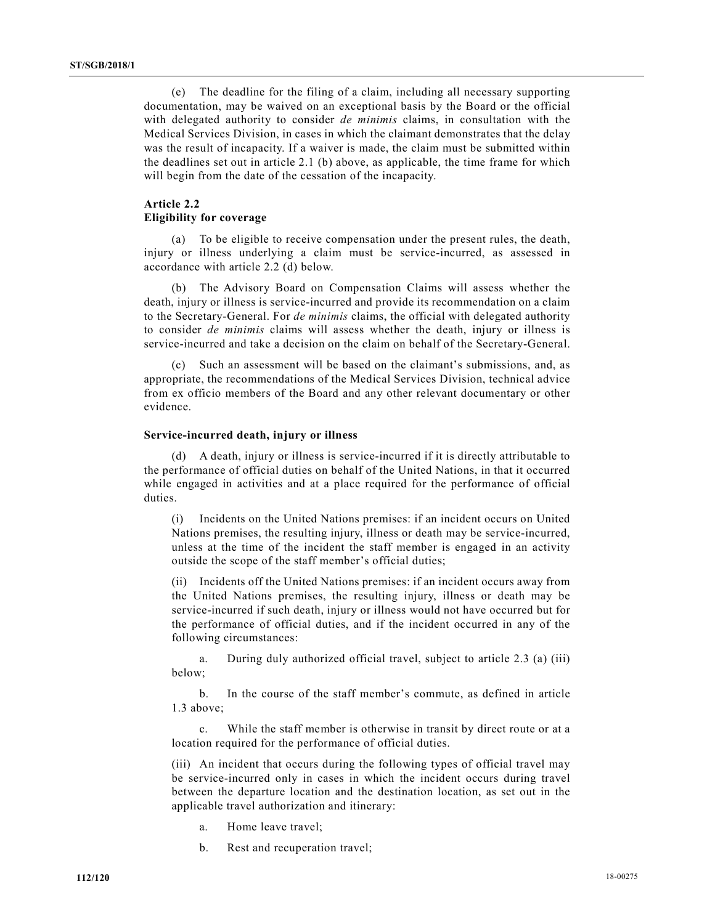(e) The deadline for the filing of a claim, including all necessary supporting documentation, may be waived on an exceptional basis by the Board or the official with delegated authority to consider *de minimis* claims, in consultation with the Medical Services Division, in cases in which the claimant demonstrates that the delay was the result of incapacity. If a waiver is made, the claim must be submitted within the deadlines set out in article 2.1 (b) above, as applicable, the time frame for which will begin from the date of the cessation of the incapacity.

# Article 2.2 Eligibility for coverage

 (a) To be eligible to receive compensation under the present rules, the death, injury or illness underlying a claim must be service-incurred, as assessed in accordance with article 2.2 (d) below.

 (b) The Advisory Board on Compensation Claims will assess whether the death, injury or illness is service-incurred and provide its recommendation on a claim to the Secretary-General. For de minimis claims, the official with delegated authority to consider de minimis claims will assess whether the death, injury or illness is service-incurred and take a decision on the claim on behalf of the Secretary-General.

 (c) Such an assessment will be based on the claimant's submissions, and, as appropriate, the recommendations of the Medical Services Division, technical advice from ex officio members of the Board and any other relevant documentary or other evidence.

#### Service-incurred death, injury or illness

 (d) A death, injury or illness is service-incurred if it is directly attributable to the performance of official duties on behalf of the United Nations, in that it occurred while engaged in activities and at a place required for the performance of official duties.

 (i) Incidents on the United Nations premises: if an incident occurs on United Nations premises, the resulting injury, illness or death may be service-incurred, unless at the time of the incident the staff member is engaged in an activity outside the scope of the staff member's official duties;

 (ii) Incidents off the United Nations premises: if an incident occurs away from the United Nations premises, the resulting injury, illness or death may be service-incurred if such death, injury or illness would not have occurred but for the performance of official duties, and if the incident occurred in any of the following circumstances:

 a. During duly authorized official travel, subject to article 2.3 (a) (iii) below;

 b. In the course of the staff member's commute, as defined in article 1.3 above;

 c. While the staff member is otherwise in transit by direct route or at a location required for the performance of official duties.

 (iii) An incident that occurs during the following types of official travel may be service-incurred only in cases in which the incident occurs during travel between the departure location and the destination location, as set out in the applicable travel authorization and itinerary:

- a. Home leave travel;
- b. Rest and recuperation travel;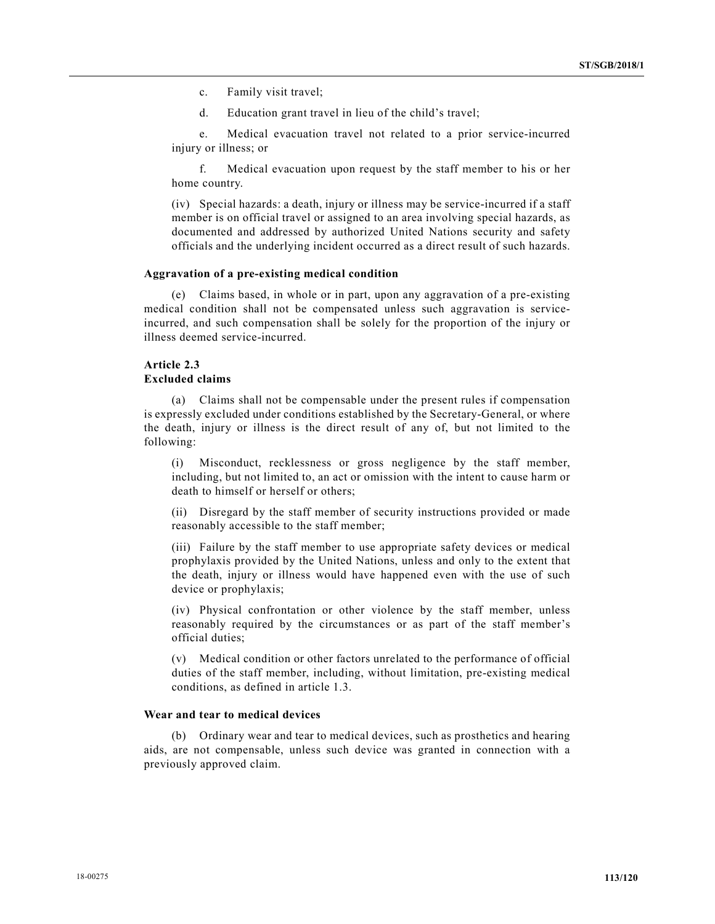- c. Family visit travel;
- d. Education grant travel in lieu of the child's travel;

 e. Medical evacuation travel not related to a prior service-incurred injury or illness; or

 f. Medical evacuation upon request by the staff member to his or her home country.

 (iv) Special hazards: a death, injury or illness may be service-incurred if a staff member is on official travel or assigned to an area involving special hazards, as documented and addressed by authorized United Nations security and safety officials and the underlying incident occurred as a direct result of such hazards.

#### Aggravation of a pre-existing medical condition

 (e) Claims based, in whole or in part, upon any aggravation of a pre-existing medical condition shall not be compensated unless such aggravation is serviceincurred, and such compensation shall be solely for the proportion of the injury or illness deemed service-incurred.

# Article 2.3 Excluded claims

 (a) Claims shall not be compensable under the present rules if compensation is expressly excluded under conditions established by the Secretary-General, or where the death, injury or illness is the direct result of any of, but not limited to the following:

 (i) Misconduct, recklessness or gross negligence by the staff member, including, but not limited to, an act or omission with the intent to cause harm or death to himself or herself or others;

 (ii) Disregard by the staff member of security instructions provided or made reasonably accessible to the staff member;

 (iii) Failure by the staff member to use appropriate safety devices or medical prophylaxis provided by the United Nations, unless and only to the extent that the death, injury or illness would have happened even with the use of such device or prophylaxis;

 (iv) Physical confrontation or other violence by the staff member, unless reasonably required by the circumstances or as part of the staff member's official duties;

 (v) Medical condition or other factors unrelated to the performance of official duties of the staff member, including, without limitation, pre-existing medical conditions, as defined in article 1.3.

### Wear and tear to medical devices

 (b) Ordinary wear and tear to medical devices, such as prosthetics and hearing aids, are not compensable, unless such device was granted in connection with a previously approved claim.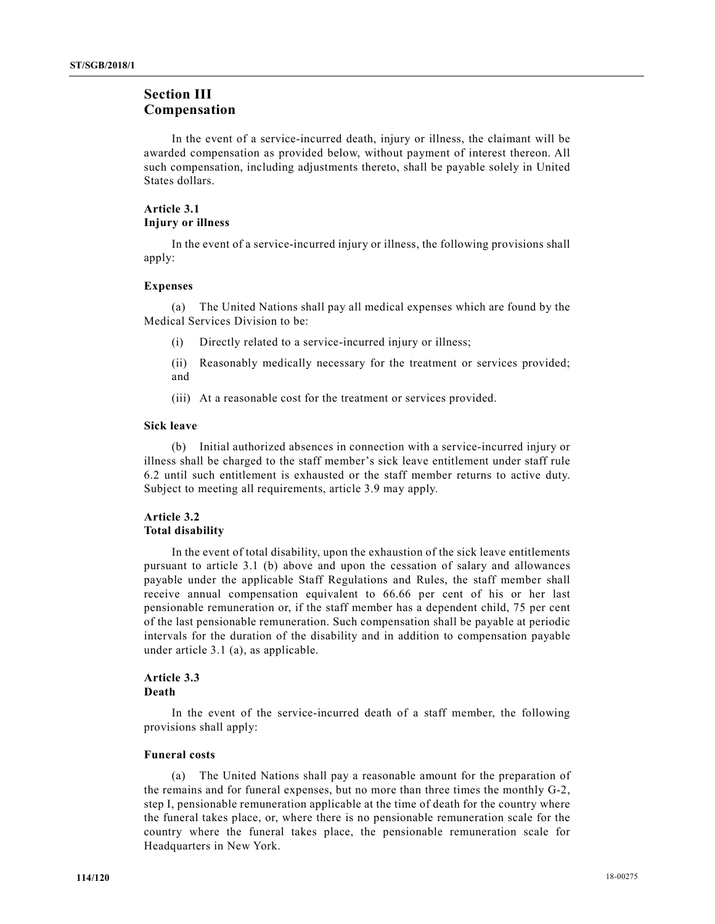# Section III Compensation

 In the event of a service-incurred death, injury or illness, the claimant will be awarded compensation as provided below, without payment of interest thereon. All such compensation, including adjustments thereto, shall be payable solely in United States dollars.

# Article 3.1 Injury or illness

 In the event of a service-incurred injury or illness, the following provisions shall apply:

# Expenses

 (a) The United Nations shall pay all medical expenses which are found by the Medical Services Division to be:

(i) Directly related to a service-incurred injury or illness;

 (ii) Reasonably medically necessary for the treatment or services provided; and

(iii) At a reasonable cost for the treatment or services provided.

# Sick leave

 (b) Initial authorized absences in connection with a service-incurred injury or illness shall be charged to the staff member's sick leave entitlement under staff rule 6.2 until such entitlement is exhausted or the staff member returns to active duty. Subject to meeting all requirements, article 3.9 may apply.

# Article 3.2 Total disability

 In the event of total disability, upon the exhaustion of the sick leave entitlements pursuant to article 3.1 (b) above and upon the cessation of salary and allowances payable under the applicable Staff Regulations and Rules, the staff member shall receive annual compensation equivalent to 66.66 per cent of his or her last pensionable remuneration or, if the staff member has a dependent child, 75 per cent of the last pensionable remuneration. Such compensation shall be payable at periodic intervals for the duration of the disability and in addition to compensation payable under article 3.1 (a), as applicable.

### Article 3.3 Death

 In the event of the service-incurred death of a staff member, the following provisions shall apply:

# Funeral costs

 (a) The United Nations shall pay a reasonable amount for the preparation of the remains and for funeral expenses, but no more than three times the monthly G-2, step I, pensionable remuneration applicable at the time of death for the country where the funeral takes place, or, where there is no pensionable remuneration scale for the country where the funeral takes place, the pensionable remuneration scale for Headquarters in New York.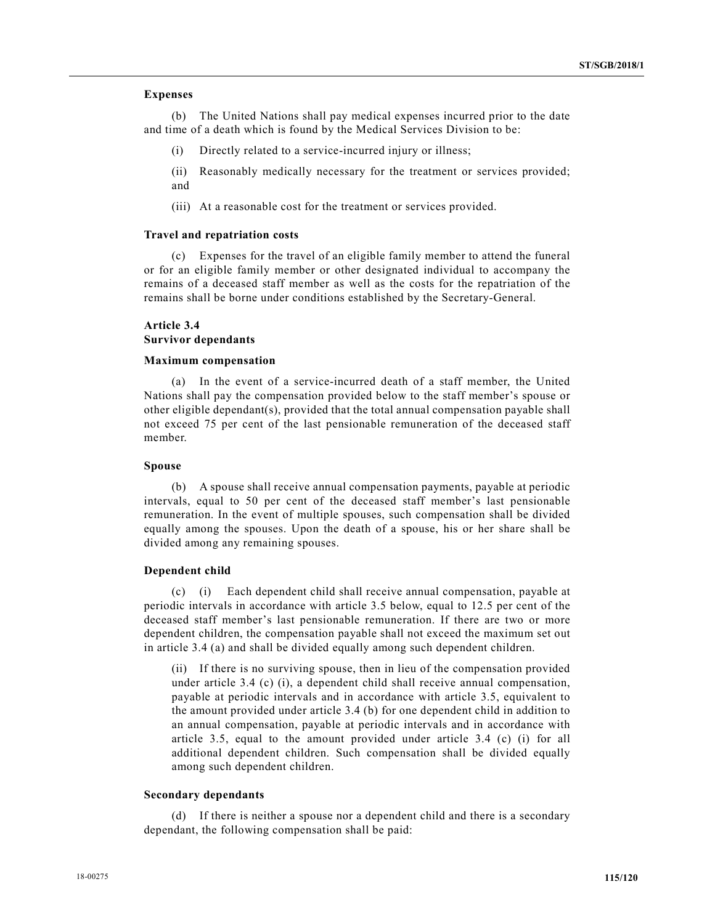## Expenses

 (b) The United Nations shall pay medical expenses incurred prior to the date and time of a death which is found by the Medical Services Division to be:

- (i) Directly related to a service-incurred injury or illness;
- (ii) Reasonably medically necessary for the treatment or services provided; and
- (iii) At a reasonable cost for the treatment or services provided.

## Travel and repatriation costs

 (c) Expenses for the travel of an eligible family member to attend the funeral or for an eligible family member or other designated individual to accompany the remains of a deceased staff member as well as the costs for the repatriation of the remains shall be borne under conditions established by the Secretary-General.

# Article 3.4 Survivor dependants

## Maximum compensation

 (a) In the event of a service-incurred death of a staff member, the United Nations shall pay the compensation provided below to the staff member's spouse or other eligible dependant(s), provided that the total annual compensation payable shall not exceed 75 per cent of the last pensionable remuneration of the deceased staff member.

## Spouse

 (b) A spouse shall receive annual compensation payments, payable at periodic intervals, equal to 50 per cent of the deceased staff member's last pensionable remuneration. In the event of multiple spouses, such compensation shall be divided equally among the spouses. Upon the death of a spouse, his or her share shall be divided among any remaining spouses.

## Dependent child

 (c) (i) Each dependent child shall receive annual compensation, payable at periodic intervals in accordance with article 3.5 below, equal to 12.5 per cent of the deceased staff member's last pensionable remuneration. If there are two or more dependent children, the compensation payable shall not exceed the maximum set out in article 3.4 (a) and shall be divided equally among such dependent children.

 (ii) If there is no surviving spouse, then in lieu of the compensation provided under article 3.4 (c) (i), a dependent child shall receive annual compensation, payable at periodic intervals and in accordance with article 3.5, equivalent to the amount provided under article 3.4 (b) for one dependent child in addition to an annual compensation, payable at periodic intervals and in accordance with article 3.5, equal to the amount provided under article 3.4 (c) (i) for all additional dependent children. Such compensation shall be divided equally among such dependent children.

## Secondary dependants

 (d) If there is neither a spouse nor a dependent child and there is a secondary dependant, the following compensation shall be paid: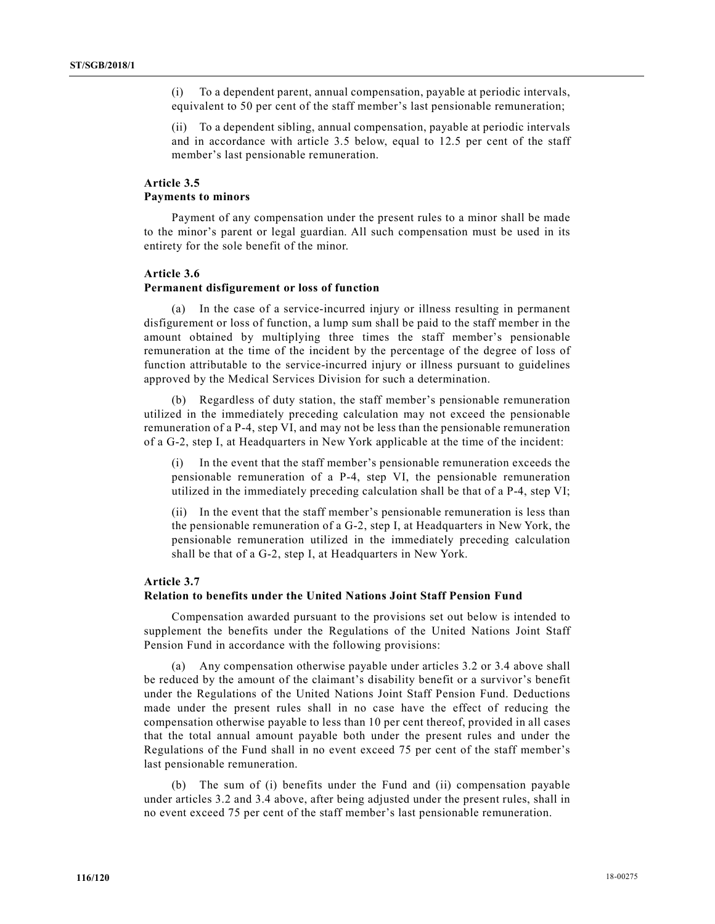(i) To a dependent parent, annual compensation, payable at periodic intervals, equivalent to 50 per cent of the staff member's last pensionable remuneration;

 (ii) To a dependent sibling, annual compensation, payable at periodic intervals and in accordance with article 3.5 below, equal to 12.5 per cent of the staff member's last pensionable remuneration.

# Article 3.5 Payments to minors

 Payment of any compensation under the present rules to a minor shall be made to the minor's parent or legal guardian. All such compensation must be used in its entirety for the sole benefit of the minor.

#### Article 3.6

# Permanent disfigurement or loss of function

 (a) In the case of a service-incurred injury or illness resulting in permanent disfigurement or loss of function, a lump sum shall be paid to the staff member in the amount obtained by multiplying three times the staff member's pensionable remuneration at the time of the incident by the percentage of the degree of loss of function attributable to the service-incurred injury or illness pursuant to guidelines approved by the Medical Services Division for such a determination.

 (b) Regardless of duty station, the staff member's pensionable remuneration utilized in the immediately preceding calculation may not exceed the pensionable remuneration of a P-4, step VI, and may not be less than the pensionable remuneration of a G-2, step I, at Headquarters in New York applicable at the time of the incident:

 (i) In the event that the staff member's pensionable remuneration exceeds the pensionable remuneration of a P-4, step VI, the pensionable remuneration utilized in the immediately preceding calculation shall be that of a P-4, step VI;

 (ii) In the event that the staff member's pensionable remuneration is less than the pensionable remuneration of a G-2, step I, at Headquarters in New York, the pensionable remuneration utilized in the immediately preceding calculation shall be that of a G-2, step I, at Headquarters in New York.

#### Article 3.7

# Relation to benefits under the United Nations Joint Staff Pension Fund

 Compensation awarded pursuant to the provisions set out below is intended to supplement the benefits under the Regulations of the United Nations Joint Staff Pension Fund in accordance with the following provisions:

 (a) Any compensation otherwise payable under articles 3.2 or 3.4 above shall be reduced by the amount of the claimant's disability benefit or a survivor's benefit under the Regulations of the United Nations Joint Staff Pension Fund. Deductions made under the present rules shall in no case have the effect of reducing the compensation otherwise payable to less than 10 per cent thereof, provided in all cases that the total annual amount payable both under the present rules and under the Regulations of the Fund shall in no event exceed 75 per cent of the staff member's last pensionable remuneration.

 (b) The sum of (i) benefits under the Fund and (ii) compensation payable under articles 3.2 and 3.4 above, after being adjusted under the present rules, shall in no event exceed 75 per cent of the staff member's last pensionable remuneration.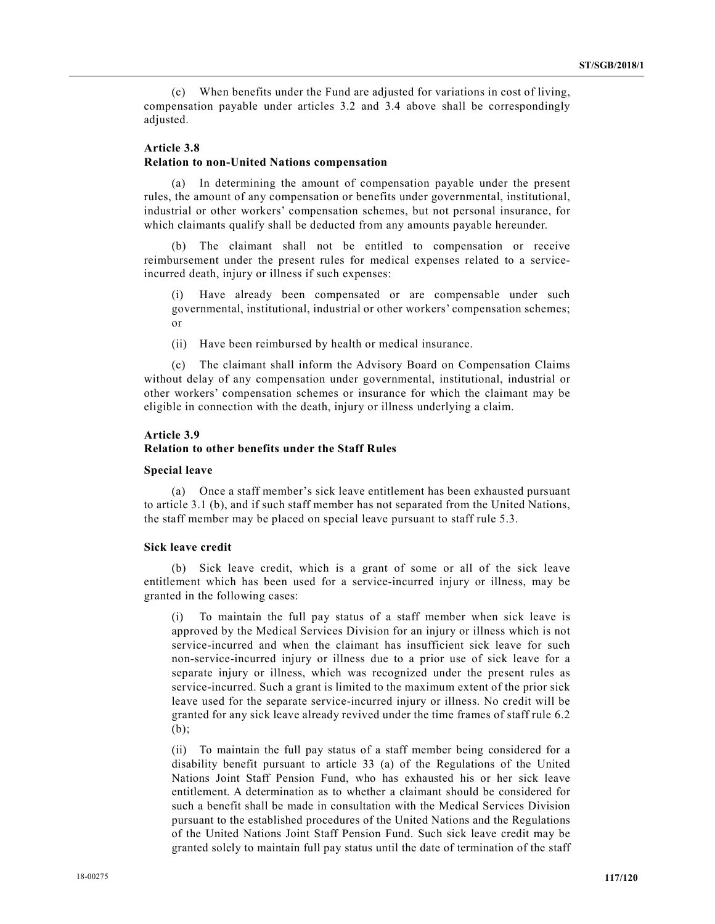(c) When benefits under the Fund are adjusted for variations in cost of living, compensation payable under articles 3.2 and 3.4 above shall be correspondingly adjusted.

## Article 3.8

### Relation to non-United Nations compensation

 (a) In determining the amount of compensation payable under the present rules, the amount of any compensation or benefits under governmental, institutional, industrial or other workers' compensation schemes, but not personal insurance, for which claimants qualify shall be deducted from any amounts payable hereunder.

 (b) The claimant shall not be entitled to compensation or receive reimbursement under the present rules for medical expenses related to a serviceincurred death, injury or illness if such expenses:

Have already been compensated or are compensable under such governmental, institutional, industrial or other workers' compensation schemes; or

(ii) Have been reimbursed by health or medical insurance.

 (c) The claimant shall inform the Advisory Board on Compensation Claims without delay of any compensation under governmental, institutional, industrial or other workers' compensation schemes or insurance for which the claimant may be eligible in connection with the death, injury or illness underlying a claim.

## Article 3.9

# Relation to other benefits under the Staff Rules

### Special leave

 (a) Once a staff member's sick leave entitlement has been exhausted pursuant to article 3.1 (b), and if such staff member has not separated from the United Nations, the staff member may be placed on special leave pursuant to staff rule 5.3.

## Sick leave credit

 (b) Sick leave credit, which is a grant of some or all of the sick leave entitlement which has been used for a service-incurred injury or illness, may be granted in the following cases:

 (i) To maintain the full pay status of a staff member when sick leave is approved by the Medical Services Division for an injury or illness which is not service-incurred and when the claimant has insufficient sick leave for such non-service-incurred injury or illness due to a prior use of sick leave for a separate injury or illness, which was recognized under the present rules as service-incurred. Such a grant is limited to the maximum extent of the prior sick leave used for the separate service-incurred injury or illness. No credit will be granted for any sick leave already revived under the time frames of staff rule 6.2 (b);

 (ii) To maintain the full pay status of a staff member being considered for a disability benefit pursuant to article 33 (a) of the Regulations of the United Nations Joint Staff Pension Fund, who has exhausted his or her sick leave entitlement. A determination as to whether a claimant should be considered for such a benefit shall be made in consultation with the Medical Services Division pursuant to the established procedures of the United Nations and the Regulations of the United Nations Joint Staff Pension Fund. Such sick leave credit may be granted solely to maintain full pay status until the date of termination of the staff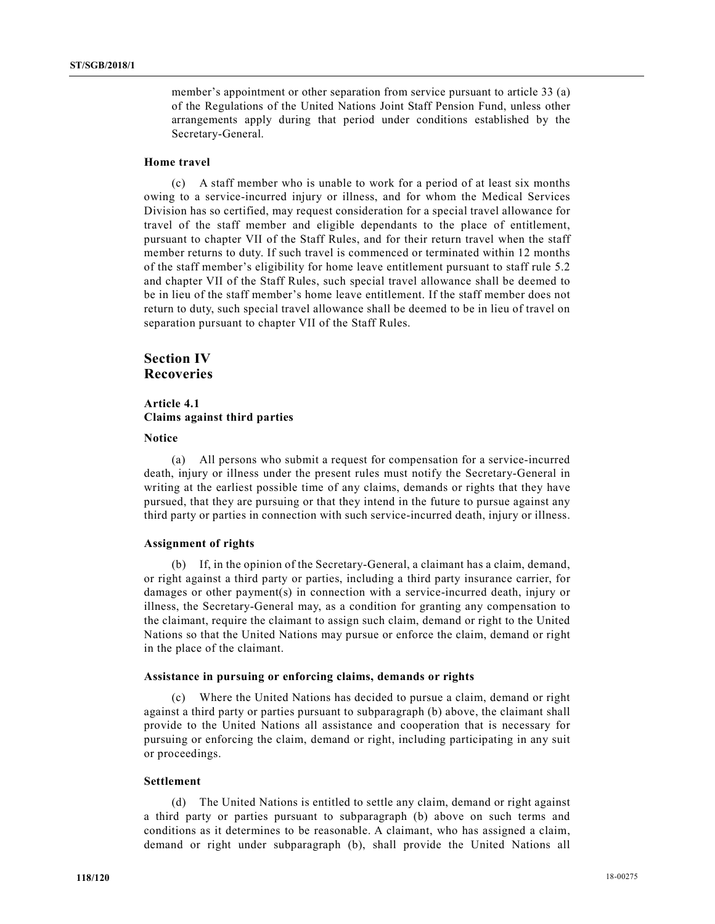member's appointment or other separation from service pursuant to article 33 (a) of the Regulations of the United Nations Joint Staff Pension Fund, unless other arrangements apply during that period under conditions established by the Secretary-General.

# Home travel

 (c) A staff member who is unable to work for a period of at least six months owing to a service-incurred injury or illness, and for whom the Medical Services Division has so certified, may request consideration for a special travel allowance for travel of the staff member and eligible dependants to the place of entitlement, pursuant to chapter VII of the Staff Rules, and for their return travel when the staff member returns to duty. If such travel is commenced or terminated within 12 months of the staff member's eligibility for home leave entitlement pursuant to staff rule 5.2 and chapter VII of the Staff Rules, such special travel allowance shall be deemed to be in lieu of the staff member's home leave entitlement. If the staff member does not return to duty, such special travel allowance shall be deemed to be in lieu of travel on separation pursuant to chapter VII of the Staff Rules.

# Section IV Recoveries

# Article 4.1 Claims against third parties

#### **Notice**

 (a) All persons who submit a request for compensation for a service-incurred death, injury or illness under the present rules must notify the Secretary-General in writing at the earliest possible time of any claims, demands or rights that they have pursued, that they are pursuing or that they intend in the future to pursue against any third party or parties in connection with such service-incurred death, injury or illness.

## Assignment of rights

 (b) If, in the opinion of the Secretary-General, a claimant has a claim, demand, or right against a third party or parties, including a third party insurance carrier, for damages or other payment(s) in connection with a service-incurred death, injury or illness, the Secretary-General may, as a condition for granting any compensation to the claimant, require the claimant to assign such claim, demand or right to the United Nations so that the United Nations may pursue or enforce the claim, demand or right in the place of the claimant.

## Assistance in pursuing or enforcing claims, demands or rights

 (c) Where the United Nations has decided to pursue a claim, demand or right against a third party or parties pursuant to subparagraph (b) above, the claimant shall provide to the United Nations all assistance and cooperation that is necessary for pursuing or enforcing the claim, demand or right, including participating in any suit or proceedings.

## Settlement

 (d) The United Nations is entitled to settle any claim, demand or right against a third party or parties pursuant to subparagraph (b) above on such terms and conditions as it determines to be reasonable. A claimant, who has assigned a claim, demand or right under subparagraph (b), shall provide the United Nations all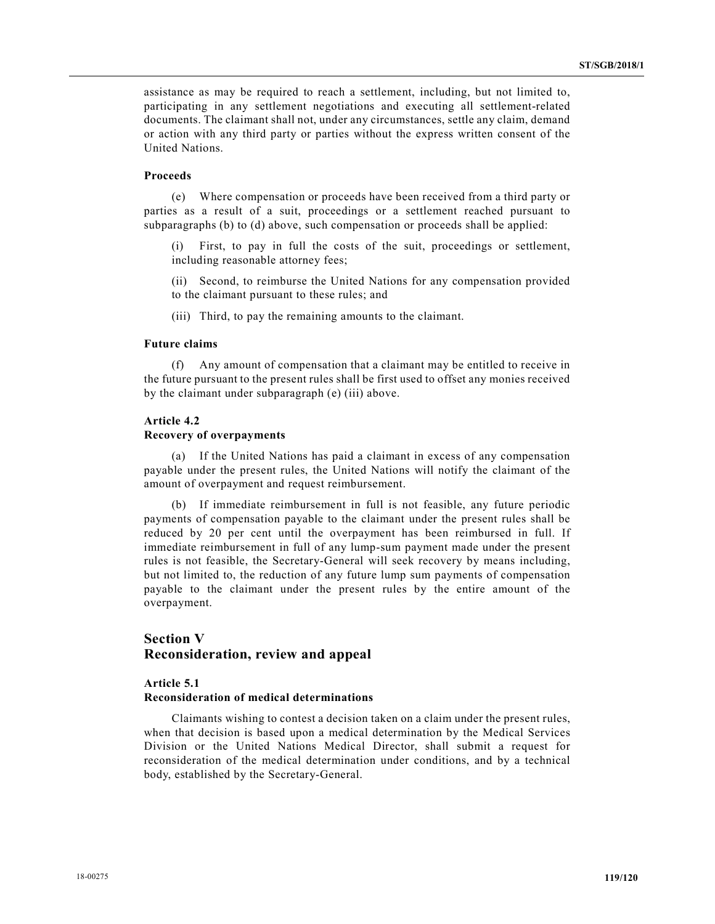assistance as may be required to reach a settlement, including, but not limited to, participating in any settlement negotiations and executing all settlement-related documents. The claimant shall not, under any circumstances, settle any claim, demand or action with any third party or parties without the express written consent of the United Nations.

#### Proceeds

 (e) Where compensation or proceeds have been received from a third party or parties as a result of a suit, proceedings or a settlement reached pursuant to subparagraphs (b) to (d) above, such compensation or proceeds shall be applied:

First, to pay in full the costs of the suit, proceedings or settlement, including reasonable attorney fees;

 (ii) Second, to reimburse the United Nations for any compensation provided to the claimant pursuant to these rules; and

(iii) Third, to pay the remaining amounts to the claimant.

## Future claims

 (f) Any amount of compensation that a claimant may be entitled to receive in the future pursuant to the present rules shall be first used to offset any monies received by the claimant under subparagraph (e) (iii) above.

#### Article 4.2

#### Recovery of overpayments

 (a) If the United Nations has paid a claimant in excess of any compensation payable under the present rules, the United Nations will notify the claimant of the amount of overpayment and request reimbursement.

 (b) If immediate reimbursement in full is not feasible, any future periodic payments of compensation payable to the claimant under the present rules shall be reduced by 20 per cent until the overpayment has been reimbursed in full. If immediate reimbursement in full of any lump-sum payment made under the present rules is not feasible, the Secretary-General will seek recovery by means including, but not limited to, the reduction of any future lump sum payments of compensation payable to the claimant under the present rules by the entire amount of the overpayment.

# Section V Reconsideration, review and appeal

# Article 5.1 Reconsideration of medical determinations

 Claimants wishing to contest a decision taken on a claim under the present rules, when that decision is based upon a medical determination by the Medical Services Division or the United Nations Medical Director, shall submit a request for reconsideration of the medical determination under conditions, and by a technical body, established by the Secretary-General.